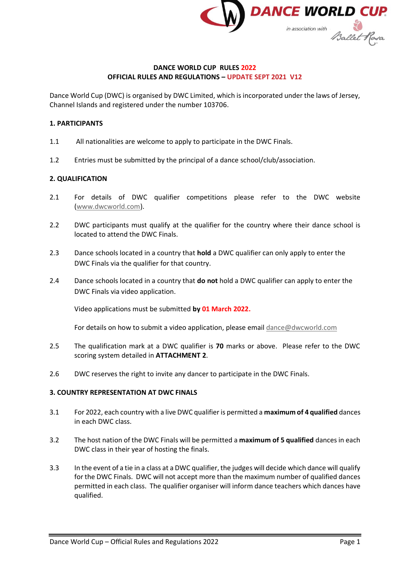

#### **DANCE WORLD CUP RULES 2022 OFFICIAL RULES AND REGULATIONS – UPDATE SEPT 2021 V12**

Dance World Cup (DWC) is organised by DWC Limited, which is incorporated under the laws of Jersey, Channel Islands and registered under the number 103706.

#### **1. PARTICIPANTS**

- 1.1 All nationalities are welcome to apply to participate in the DWC Finals.
- 1.2 Entries must be submitted by the principal of a dance school/club/association.

### **2. QUALIFICATION**

- 2.1 For details of DWC qualifier competitions please refer to the DWC website [\(www.dwcworld.com\)](http://www.dwcworld.com/).
- 2.2 DWC participants must qualify at the qualifier for the country where their dance school is located to attend the DWC Finals.
- 2.3 Dance schools located in a country that **hold** a DWC qualifier can only apply to enter the DWC Finals via the qualifier for that country.
- 2.4 Dance schools located in a country that **do not** hold a DWC qualifier can apply to enter the DWC Finals via video application.

Video applications must be submitted **by 01 March 2022.**

For details on how to submit a video application, please emai[l dance@dwcworld.com](mailto:dance@dwcworld.com)

- 2.5 The qualification mark at a DWC qualifier is **70** marks or above. Please refer to the DWC scoring system detailed in **ATTACHMENT 2**.
- 2.6 DWC reserves the right to invite any dancer to participate in the DWC Finals.

#### **3. COUNTRY REPRESENTATION AT DWC FINALS**

- 3.1 For 2022, each country with a live DWC qualifier is permitted a **maximum of 4 qualified** dances in each DWC class.
- 3.2 The host nation of the DWC Finals will be permitted a **maximum of 5 qualified** dances in each DWC class in their year of hosting the finals.
- 3.3 In the event of a tie in a class at a DWC qualifier, the judges will decide which dance will qualify for the DWC Finals. DWC will not accept more than the maximum number of qualified dances permitted in each class. The qualifier organiser will inform dance teachers which dances have qualified.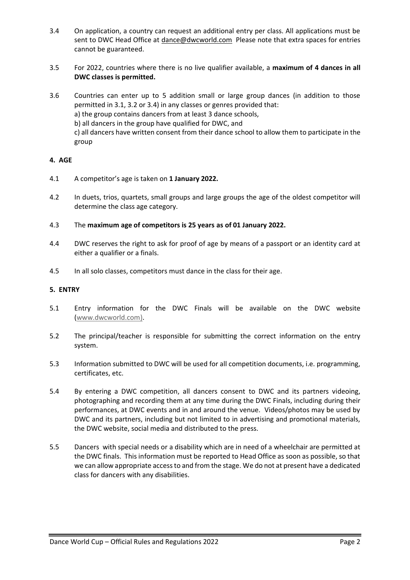- 3.4 On application, a country can request an additional entry per class. All applications must be sent to DWC Head Office at [dance@dwcworld.com](mailto:dance@dwcworld.com) Please note that extra spaces for entries cannot be guaranteed.
- 3.5 For 2022, countries where there is no live qualifier available, a **maximum of 4 dances in all DWC classes is permitted.**
- 3.6 Countries can enter up to 5 addition small or large group dances (in addition to those permitted in 3.1, 3.2 or 3.4) in any classes or genres provided that: a) the group contains dancers from at least 3 dance schools, b) all dancers in the group have qualified for DWC, and c) all dancers have written consent from their dance school to allow them to participate in the group

## **4. AGE**

- 4.1 A competitor's age is taken on **1 January 2022.**
- 4.2 In duets, trios, quartets, small groups and large groups the age of the oldest competitor will determine the class age category.
- 4.3 The **maximum age of competitors is 25 years as of 01 January 2022.**
- 4.4 DWC reserves the right to ask for proof of age by means of a passport or an identity card at either a qualifier or a finals.
- 4.5 In all solo classes, competitors must dance in the class for their age.

#### **5. ENTRY**

- 5.1 Entry information for the DWC Finals will be available on the DWC website [\(www.dwcworld.com\)](http://www.dwcworld.com/).
- 5.2 The principal/teacher is responsible for submitting the correct information on the entry system.
- 5.3 Information submitted to DWC will be used for all competition documents, i.e. programming, certificates, etc.
- 5.4 By entering a DWC competition, all dancers consent to DWC and its partners videoing, photographing and recording them at any time during the DWC Finals, including during their performances, at DWC events and in and around the venue. Videos/photos may be used by DWC and its partners, including but not limited to in advertising and promotional materials, the DWC website, social media and distributed to the press.
- 5.5 Dancers with special needs or a disability which are in need of a wheelchair are permitted at the DWC finals. This information must be reported to Head Office as soon as possible, so that we can allow appropriate access to and from the stage. We do not at present have a dedicated class for dancers with any disabilities.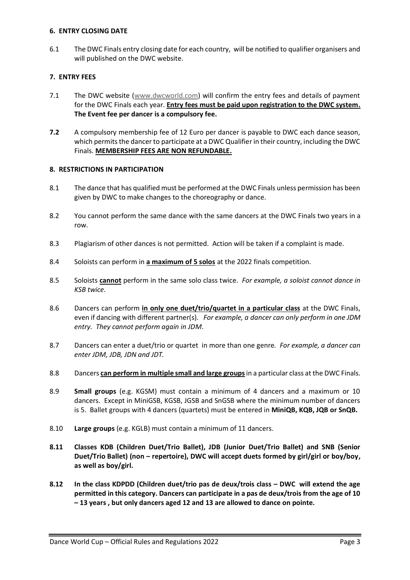### **6. ENTRY CLOSING DATE**

6.1 The DWC Finals entry closing date for each country, will be notified to qualifier organisers and will published on the DWC website.

## **7. ENTRY FEES**

- 7.1 The DWC website [\(www.dwcworld.com\)](http://www.dwcworld.com/) will confirm the entry fees and details of payment for the DWC Finals each year. **Entry fees must be paid upon registration to the DWC system. The Event fee per dancer is a compulsory fee.**
- **7.2** A compulsory membership fee of 12 Euro per dancer is payable to DWC each dance season, which permits the dancer to participate at a DWC Qualifier in their country, including the DWC Finals. **MEMBERSHIP FEES ARE NON REFUNDABLE.**

## **8. RESTRICTIONS IN PARTICIPATION**

- 8.1 The dance that has qualified must be performed at the DWC Finals unless permission has been given by DWC to make changes to the choreography or dance.
- 8.2 You cannot perform the same dance with the same dancers at the DWC Finals two years in a row.
- 8.3 Plagiarism of other dances is not permitted. Action will be taken if a complaint is made.
- 8.4 Soloists can perform in **a maximum of 5 solos** at the 2022 finals competition.
- 8.5 Soloists **cannot** perform in the same solo class twice. *For example, a soloist cannot dance in KSB twice.*
- 8.6 Dancers can perform **in only one duet/trio/quartet in a particular class** at the DWC Finals, even if dancing with different partner(s). *For example, a dancer can only perform in one JDM entry. They cannot perform again in JDM*.
- 8.7 Dancers can enter a duet/trio or quartet in more than one genre*. For example, a dancer can enter JDM, JDB, JDN and JDT.*
- 8.8 Dancers **can perform in multiple small and large groups**in a particular class at the DWC Finals.
- 8.9 **Small groups** (e.g. KGSM) must contain a minimum of 4 dancers and a maximum or 10 dancers. Except in MiniGSB, KGSB, JGSB and SnGSB where the minimum number of dancers is 5. Ballet groups with 4 dancers (quartets) must be entered in **MiniQB, KQB, JQB or SnQB.**
- 8.10 **Large groups** (e.g. KGLB) must contain a minimum of 11 dancers.
- **8.11 Classes KDB (Children Duet/Trio Ballet), JDB (Junior Duet/Trio Ballet) and SNB (Senior Duet/Trio Ballet) (non – repertoire), DWC will accept duets formed by girl/girl or boy/boy, as well as boy/girl.**
- **8.12 In the class KDPDD (Children duet/trio pas de deux/trois class – DWC will extend the age permitted in this category. Dancers can participate in a pas de deux/trois from the age of 10 – 13 years , but only dancers aged 12 and 13 are allowed to dance on pointe.**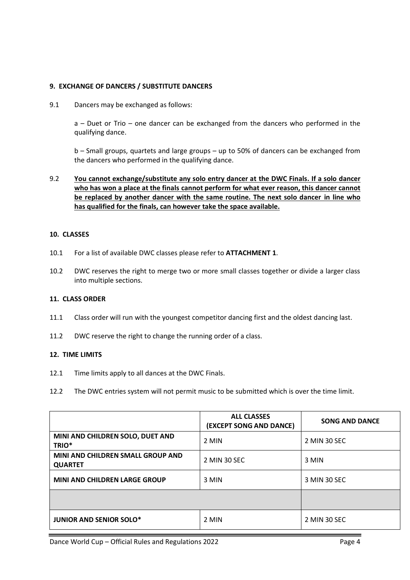## **9. EXCHANGE OF DANCERS / SUBSTITUTE DANCERS**

9.1 Dancers may be exchanged as follows:

a – Duet or Trio – one dancer can be exchanged from the dancers who performed in the qualifying dance.

b – Small groups, quartets and large groups – up to 50% of dancers can be exchanged from the dancers who performed in the qualifying dance.

## 9.2 **You cannot exchange/substitute any solo entry dancer at the DWC Finals. If a solo dancer who has won a place at the finals cannot perform for what ever reason, this dancer cannot be replaced by another dancer with the same routine. The next solo dancer in line who has qualified for the finals, can however take the space available.**

#### **10. CLASSES**

- 10.1 For a list of available DWC classes please refer to **ATTACHMENT 1**.
- 10.2 DWC reserves the right to merge two or more small classes together or divide a larger class into multiple sections.

#### **11. CLASS ORDER**

- 11.1 Class order will run with the youngest competitor dancing first and the oldest dancing last.
- 11.2 DWC reserve the right to change the running order of a class.

#### **12. TIME LIMITS**

- 12.1 Time limits apply to all dances at the DWC Finals.
- 12.2 The DWC entries system will not permit music to be submitted which is over the time limit.

|                                                     | <b>ALL CLASSES</b><br>(EXCEPT SONG AND DANCE) | <b>SONG AND DANCE</b> |
|-----------------------------------------------------|-----------------------------------------------|-----------------------|
| MINI AND CHILDREN SOLO, DUET AND<br>TRIO*           | 2 MIN                                         | 2 MIN 30 SEC          |
| MINI AND CHILDREN SMALL GROUP AND<br><b>QUARTET</b> | 2 MIN 30 SEC                                  | 3 MIN                 |
| <b>MINI AND CHILDREN LARGE GROUP</b>                | 3 MIN                                         | 3 MIN 30 SEC          |
|                                                     |                                               |                       |
| <b>JUNIOR AND SENIOR SOLO*</b>                      | 2 MIN                                         | 2 MIN 30 SEC          |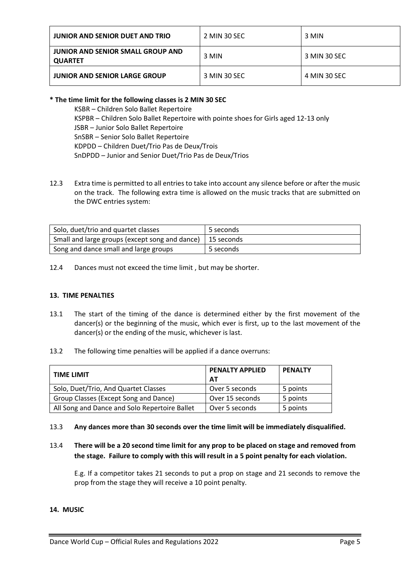| JUNIOR AND SENIOR DUET AND TRIO                     | 2 MIN 30 SEC | 3 MIN        |
|-----------------------------------------------------|--------------|--------------|
| JUNIOR AND SENIOR SMALL GROUP AND<br><b>QUARTET</b> | 3 MIN        | 3 MIN 30 SEC |
| <b>JUNIOR AND SENIOR LARGE GROUP</b>                | 3 MIN 30 SEC | 4 MIN 30 SEC |

## **\* The time limit for the following classes is 2 MIN 30 SEC**

KSBR – Children Solo Ballet Repertoire KSPBR – Children Solo Ballet Repertoire with pointe shoes for Girls aged 12-13 only JSBR – Junior Solo Ballet Repertoire SnSBR – Senior Solo Ballet Repertoire KDPDD – Children Duet/Trio Pas de Deux/Trois SnDPDD – Junior and Senior Duet/Trio Pas de Deux/Trios

12.3 Extra time is permitted to all entries to take into account any silence before or after the music on the track. The following extra time is allowed on the music tracks that are submitted on the DWC entries system:

| Solo, duet/trio and quartet classes                         | 5 seconds |
|-------------------------------------------------------------|-----------|
| Small and large groups (except song and dance)   15 seconds |           |
| Song and dance small and large groups                       | 5 seconds |

12.4 Dances must not exceed the time limit , but may be shorter.

## **13. TIME PENALTIES**

- 13.1 The start of the timing of the dance is determined either by the first movement of the dancer(s) or the beginning of the music, which ever is first, up to the last movement of the dancer(s) or the ending of the music, whichever is last.
- 13.2 The following time penalties will be applied if a dance overruns:

| <b>TIME LIMIT</b>                             | <b>PENALTY APPLIED</b><br>AT | <b>PENALTY</b> |
|-----------------------------------------------|------------------------------|----------------|
| Solo, Duet/Trio, And Quartet Classes          | Over 5 seconds               | 5 points       |
| Group Classes (Except Song and Dance)         | Over 15 seconds              | 5 points       |
| All Song and Dance and Solo Repertoire Ballet | Over 5 seconds               | 5 points       |

## 13.3 **Any dances more than 30 seconds over the time limit will be immediately disqualified.**

# 13.4 **There will be a 20 second time limit for any prop to be placed on stage and removed from the stage. Failure to comply with this will result in a 5 point penalty for each violation.**

E.g. If a competitor takes 21 seconds to put a prop on stage and 21 seconds to remove the prop from the stage they will receive a 10 point penalty.

# **14. MUSIC**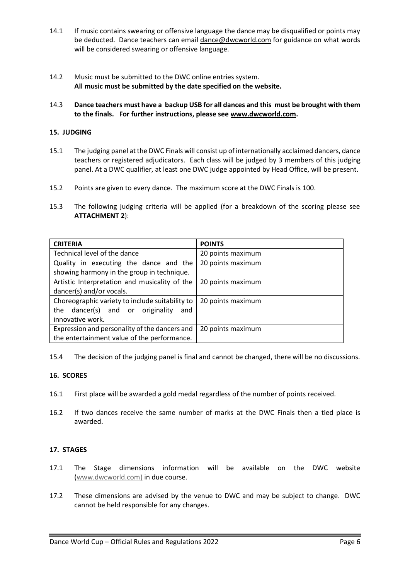- 14.1 If music contains swearing or offensive language the dance may be disqualified or points may be deducted. Dance teachers can email [dance@dwcworld.com](mailto:dance@dwcworld.com) for guidance on what words will be considered swearing or offensive language.
- 14.2 Music must be submitted to the DWC online entries system. **All music must be submitted by the date specified on the website.**
- 14.3 **Dance teachers must have a backup USB for all dances and this must be brought with them to the finals. For further instructions, please se[e www.dwcworld.com.](http://www.dwcworld.com/)**

## **15. JUDGING**

- 15.1 The judging panel at the DWC Finals will consist up of internationally acclaimed dancers, dance teachers or registered adjudicators. Each class will be judged by 3 members of this judging panel. At a DWC qualifier, at least one DWC judge appointed by Head Office, will be present.
- 15.2 Points are given to every dance. The maximum score at the DWC Finals is 100.
- 15.3 The following judging criteria will be applied (for a breakdown of the scoring please see **ATTACHMENT 2**):

| <b>CRITERIA</b>                                 | <b>POINTS</b>     |
|-------------------------------------------------|-------------------|
| Technical level of the dance                    | 20 points maximum |
| Quality in executing the dance and the          | 20 points maximum |
| showing harmony in the group in technique.      |                   |
| Artistic Interpretation and musicality of the   | 20 points maximum |
| dancer(s) and/or vocals.                        |                   |
| Choreographic variety to include suitability to | 20 points maximum |
| the dancer(s) and or originality<br>and         |                   |
| innovative work.                                |                   |
| Expression and personality of the dancers and   | 20 points maximum |
| the entertainment value of the performance.     |                   |

15.4 The decision of the judging panel is final and cannot be changed, there will be no discussions.

### **16. SCORES**

- 16.1 First place will be awarded a gold medal regardless of the number of points received.
- 16.2 If two dances receive the same number of marks at the DWC Finals then a tied place is awarded.

## **17. STAGES**

- 17.1 The Stage dimensions information will be available on the DWC website [\(www.dwcworld.com\)](http://www.dwcworld.com)/) in due course.
- 17.2 These dimensions are advised by the venue to DWC and may be subject to change. DWC cannot be held responsible for any changes.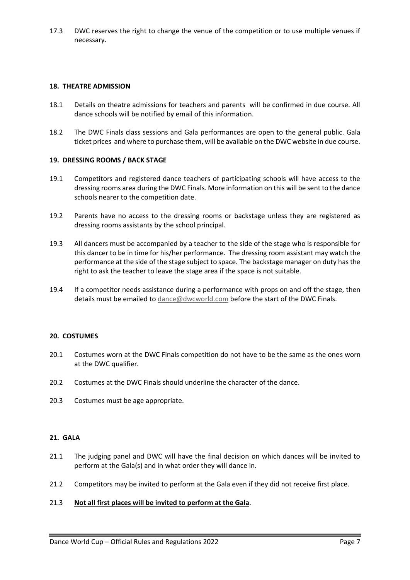17.3 DWC reserves the right to change the venue of the competition or to use multiple venues if necessary.

#### **18. THEATRE ADMISSION**

- 18.1 Details on theatre admissions for teachers and parents will be confirmed in due course. All dance schools will be notified by email of this information.
- 18.2 The DWC Finals class sessions and Gala performances are open to the general public. Gala ticket prices and where to purchase them, will be available on the DWC website in due course.

#### **19. DRESSING ROOMS / BACK STAGE**

- 19.1 Competitors and registered dance teachers of participating schools will have access to the dressing rooms area during the DWC Finals. More information on this will be sent to the dance schools nearer to the competition date.
- 19.2 Parents have no access to the dressing rooms or backstage unless they are registered as dressing rooms assistants by the school principal.
- 19.3 All dancers must be accompanied by a teacher to the side of the stage who is responsible for this dancer to be in time for his/her performance. The dressing room assistant may watch the performance at the side of the stage subject to space. The backstage manager on duty has the right to ask the teacher to leave the stage area if the space is not suitable.
- 19.4 If a competitor needs assistance during a performance with props on and off the stage, then details must be emailed to [dance@dwcworld.com](mailto:dance@dwcworld.com) before the start of the DWC Finals.

#### **20. COSTUMES**

- 20.1 Costumes worn at the DWC Finals competition do not have to be the same as the ones worn at the DWC qualifier.
- 20.2 Costumes at the DWC Finals should underline the character of the dance.
- 20.3 Costumes must be age appropriate.

### **21. GALA**

- 21.1 The judging panel and DWC will have the final decision on which dances will be invited to perform at the Gala(s) and in what order they will dance in.
- 21.2 Competitors may be invited to perform at the Gala even if they did not receive first place.

#### 21.3 **Not all first places will be invited to perform at the Gala**.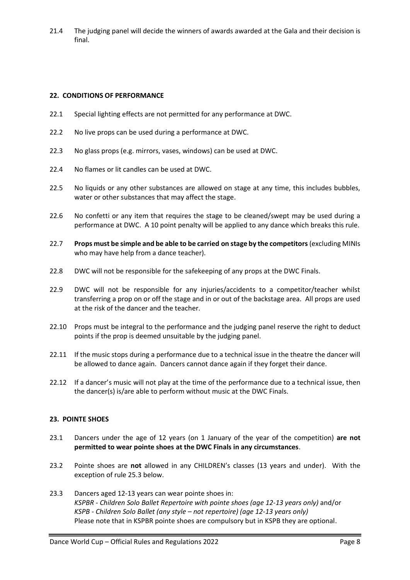21.4 The judging panel will decide the winners of awards awarded at the Gala and their decision is final.

#### **22. CONDITIONS OF PERFORMANCE**

- 22.1 Special lighting effects are not permitted for any performance at DWC.
- 22.2 No live props can be used during a performance at DWC.
- 22.3 No glass props (e.g. mirrors, vases, windows) can be used at DWC.
- 22.4 No flames or lit candles can be used at DWC.
- 22.5 No liquids or any other substances are allowed on stage at any time, this includes bubbles, water or other substances that may affect the stage.
- 22.6 No confetti or any item that requires the stage to be cleaned/swept may be used during a performance at DWC. A 10 point penalty will be applied to any dance which breaks this rule.
- 22.7 **Props must be simple and be able to be carried on stage by the competitors** (excluding MINIs who may have help from a dance teacher).
- 22.8 DWC will not be responsible for the safekeeping of any props at the DWC Finals.
- 22.9 DWC will not be responsible for any injuries/accidents to a competitor/teacher whilst transferring a prop on or off the stage and in or out of the backstage area. All props are used at the risk of the dancer and the teacher.
- 22.10 Props must be integral to the performance and the judging panel reserve the right to deduct points if the prop is deemed unsuitable by the judging panel.
- 22.11 If the music stops during a performance due to a technical issue in the theatre the dancer will be allowed to dance again. Dancers cannot dance again if they forget their dance.
- 22.12 If a dancer's music will not play at the time of the performance due to a technical issue, then the dancer(s) is/are able to perform without music at the DWC Finals.

#### **23. POINTE SHOES**

- 23.1 Dancers under the age of 12 years (on 1 January of the year of the competition) **are not permitted to wear pointe shoes at the DWC Finals in any circumstances**.
- 23.2 Pointe shoes are **not** allowed in any CHILDREN's classes (13 years and under). With the exception of rule 25.3 below.
- 23.3 Dancers aged 12-13 years can wear pointe shoes in: *KSPBR - Children Solo Ballet Repertoire with pointe shoes (age 12-13 years only)* and/or *KSPB - Children Solo Ballet (any style – not repertoire) (age 12-13 years only)*  Please note that in KSPBR pointe shoes are compulsory but in KSPB they are optional.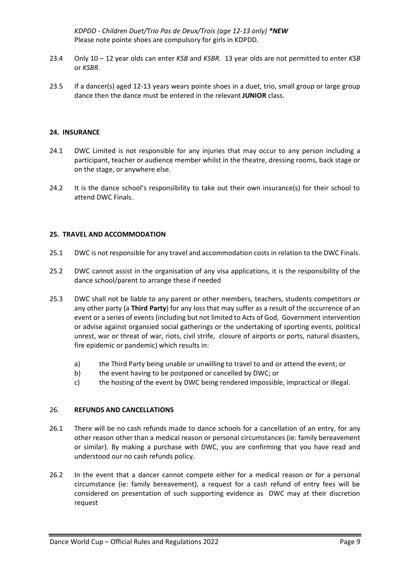*KDPDD - Children Duet/Trio Pas de Deux/Trois (age 12-13 only) \*NEW* Please note pointe shoes are compulsory for girls in KDPDD.

- 23.4 Only 10 12 year olds can enter *KSB* and *KSBR.* 13 year olds are not permitted to enter *KSB* or *KSBR*.
- 23.5 If a dancer(s) aged 12-13 years wears pointe shoes in a duet, trio, small group or large group dance then the dance must be entered in the relevant **JUNIOR** class.

#### **24. INSURANCE**

- 24.1 DWC Limited is not responsible for any injuries that may occur to any person including a participant, teacher or audience member whilst in the theatre, dressing rooms, back stage or on the stage, or anywhere else.
- 24.2 It is the dance school's responsibility to take out their own insurance(s) for their school to attend DWC Finals.

#### **25. TRAVEL AND ACCOMMODATION**

- 25.1 DWC is not responsible for any travel and accommodation costs in relation to the DWC Finals.
- 25.2 DWC cannot assist in the organisation of any visa applications, it is the responsibility of the dance school/parent to arrange these if needed
- 25.3 DWC shall not be liable to any parent or other members, teachers, students competitors or any other party (a **Third Party**) for any loss that may suffer as a result of the occurrence of an event or a series of events (including but not limited to Acts of God, Government intervention or advise against organsied social gatherings or the undertaking of sporting events, political unrest, war or threat of war, riots, civil strife, closure of airports or ports, natural disasters, fire epidemic or pandemic) which results in:
	- a) the Third Party being unable or unwilling to travel to and or attend the event; or
	- b) the event having to be postponed or cancelled by DWC; or
	- c) the hosting of the event by DWC being rendered impossible, impractical or illegal.

#### 26. **REFUNDS AND CANCELLATIONS**

- 26.1 There will be no cash refunds made to dance schools for a cancellation of an entry, for any other reason other than a medical reason or personal circumstances (ie: family bereavement or similar). By making a purchase with DWC, you are confirming that you have read and understood our no cash refunds policy.
- 26.2 In the event that a dancer cannot compete either for a medical reason or for a personal circumstance (ie: family bereavement), a request for a cash refund of entry fees will be considered on presentation of such supporting evidence as DWC may at their discretion request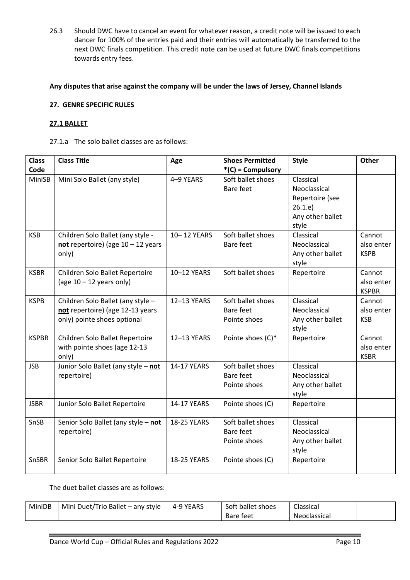26.3 Should DWC have to cancel an event for whatever reason, a credit note will be issued to each dancer for 100% of the entries paid and their entries will automatically be transferred to the next DWC finals competition. This credit note can be used at future DWC finals competitions towards entry fees.

### **Any disputes that arise against the company will be under the laws of Jersey, Channel Islands**

### **27. GENRE SPECIFIC RULES**

#### **27.1 BALLET**

### 27.1.a The solo ballet classes are as follows:

| <b>Class</b> | <b>Class Title</b>                                              | Age                | <b>Shoes Permitted</b>         | <b>Style</b>              | <b>Other</b>         |
|--------------|-----------------------------------------------------------------|--------------------|--------------------------------|---------------------------|----------------------|
| Code         |                                                                 |                    | $*(C) = Compulsory$            |                           |                      |
| MiniSB       | Mini Solo Ballet (any style)                                    | 4-9 YEARS          | Soft ballet shoes              | Classical                 |                      |
|              |                                                                 |                    | Bare feet                      | Neoclassical              |                      |
|              |                                                                 |                    |                                | Repertoire (see           |                      |
|              |                                                                 |                    |                                | 26.1.e                    |                      |
|              |                                                                 |                    |                                | Any other ballet          |                      |
|              |                                                                 |                    |                                | style                     |                      |
| <b>KSB</b>   | Children Solo Ballet (any style -                               | 10-12 YEARS        | Soft ballet shoes              | Classical                 | Cannot               |
|              | not repertoire) (age $10 - 12$ years                            |                    | Bare feet                      | Neoclassical              | also enter           |
|              | only)                                                           |                    |                                | Any other ballet          | <b>KSPB</b>          |
|              |                                                                 |                    |                                | style                     |                      |
| <b>KSBR</b>  | Children Solo Ballet Repertoire                                 | 10-12 YEARS        | Soft ballet shoes              | Repertoire                | Cannot               |
|              | (age $10 - 12$ years only)                                      |                    |                                |                           | also enter           |
|              |                                                                 |                    |                                |                           | <b>KSPBR</b>         |
| <b>KSPB</b>  | Children Solo Ballet (any style -                               | 12-13 YEARS        | Soft ballet shoes<br>Bare feet | Classical<br>Neoclassical | Cannot<br>also enter |
|              | not repertoire) (age 12-13 years<br>only) pointe shoes optional |                    | Pointe shoes                   | Any other ballet          | <b>KSB</b>           |
|              |                                                                 |                    |                                | style                     |                      |
| <b>KSPBR</b> | Children Solo Ballet Repertoire                                 | 12-13 YEARS        | Pointe shoes (C)*              | Repertoire                | Cannot               |
|              | with pointe shoes (age 12-13                                    |                    |                                |                           | also enter           |
|              | only)                                                           |                    |                                |                           | <b>KSBR</b>          |
| <b>JSB</b>   | Junior Solo Ballet (any style - not                             | <b>14-17 YEARS</b> | Soft ballet shoes              | Classical                 |                      |
|              | repertoire)                                                     |                    | Bare feet                      | Neoclassical              |                      |
|              |                                                                 |                    | Pointe shoes                   | Any other ballet          |                      |
|              |                                                                 |                    |                                | style                     |                      |
| <b>JSBR</b>  | Junior Solo Ballet Repertoire                                   | 14-17 YEARS        | Pointe shoes (C)               | Repertoire                |                      |
|              |                                                                 |                    |                                |                           |                      |
| SnSB         | Senior Solo Ballet (any style - not                             | <b>18-25 YEARS</b> | Soft ballet shoes              | Classical                 |                      |
|              | repertoire)                                                     |                    | Bare feet                      | Neoclassical              |                      |
|              |                                                                 |                    | Pointe shoes                   | Any other ballet          |                      |
|              |                                                                 |                    |                                | style                     |                      |
| SnSBR        | Senior Solo Ballet Repertoire                                   | 18-25 YEARS        | Pointe shoes (C)               | Repertoire                |                      |
|              |                                                                 |                    |                                |                           |                      |

The duet ballet classes are as follows:

| MiniDB | Mini Duet/Trio Ballet - any style | 4-9 YEARS | Soft ballet shoes | Classical    |  |
|--------|-----------------------------------|-----------|-------------------|--------------|--|
|        |                                   |           | <b>Bare feet</b>  | Neoclassical |  |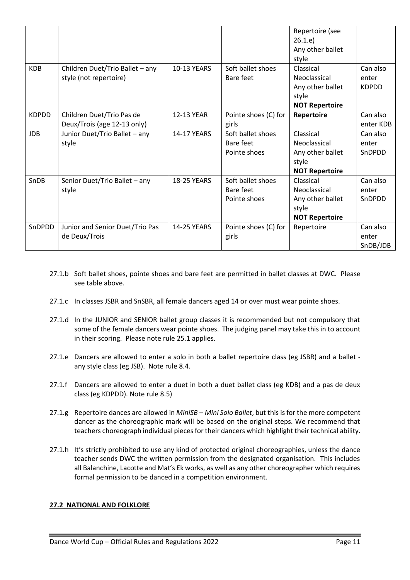|              |                                 |                    |                      | Repertoire (see<br>26.1.e)<br>Any other ballet |              |
|--------------|---------------------------------|--------------------|----------------------|------------------------------------------------|--------------|
|              |                                 |                    |                      | style                                          |              |
| <b>KDB</b>   | Children Duet/Trio Ballet - any | <b>10-13 YEARS</b> | Soft ballet shoes    | Classical                                      | Can also     |
|              | style (not repertoire)          |                    | Bare feet            | Neoclassical                                   | enter        |
|              |                                 |                    |                      | Any other ballet                               | <b>KDPDD</b> |
|              |                                 |                    |                      | style                                          |              |
|              |                                 |                    |                      | <b>NOT Repertoire</b>                          |              |
| <b>KDPDD</b> | Children Duet/Trio Pas de       | 12-13 YEAR         | Pointe shoes (C) for | Repertoire                                     | Can also     |
|              | Deux/Trois (age 12-13 only)     |                    | girls                |                                                | enter KDB    |
| <b>JDB</b>   | Junior Duet/Trio Ballet - any   | <b>14-17 YEARS</b> | Soft ballet shoes    | Classical                                      | Can also     |
|              | style                           |                    | Bare feet            | Neoclassical                                   | enter        |
|              |                                 |                    | Pointe shoes         | Any other ballet                               | SnDPDD       |
|              |                                 |                    |                      | style                                          |              |
|              |                                 |                    |                      | <b>NOT Repertoire</b>                          |              |
| SnDB         | Senior Duet/Trio Ballet - any   | <b>18-25 YEARS</b> | Soft ballet shoes    | Classical                                      | Can also     |
|              | style                           |                    | Bare feet            | Neoclassical                                   | enter        |
|              |                                 |                    | Pointe shoes         | Any other ballet                               | SnDPDD       |
|              |                                 |                    |                      | style                                          |              |
|              |                                 |                    |                      | <b>NOT Repertoire</b>                          |              |
| SnDPDD       | Junior and Senior Duet/Trio Pas | <b>14-25 YEARS</b> | Pointe shoes (C) for | Repertoire                                     | Can also     |
|              | de Deux/Trois                   |                    | girls                |                                                | enter        |
|              |                                 |                    |                      |                                                | SnDB/JDB     |

- 27.1.b Soft ballet shoes, pointe shoes and bare feet are permitted in ballet classes at DWC. Please see table above.
- 27.1.c In classes JSBR and SnSBR, all female dancers aged 14 or over must wear pointe shoes.
- 27.1.d In the JUNIOR and SENIOR ballet group classes it is recommended but not compulsory that some of the female dancers wear pointe shoes. The judging panel may take this in to account in their scoring. Please note rule 25.1 applies.
- 27.1.e Dancers are allowed to enter a solo in both a ballet repertoire class (eg JSBR) and a ballet any style class (eg JSB). Note rule 8.4.
- 27.1.f Dancers are allowed to enter a duet in both a duet ballet class (eg KDB) and a pas de deux class (eg KDPDD). Note rule 8.5)
- 27.1.g Repertoire dances are allowed in *MiniSB – Mini Solo Ballet*, but this is for the more competent dancer as the choreographic mark will be based on the original steps. We recommend that teachers choreograph individual pieces for their dancers which highlight their technical ability.
- 27.1.h It's strictly prohibited to use any kind of protected original choreographies, unless the dance teacher sends DWC the written permission from the designated organisation. This includes all Balanchine, Lacotte and Mat's Ek works, as well as any other choreographer which requires formal permission to be danced in a competition environment.

## **27.2 NATIONAL AND FOLKLORE**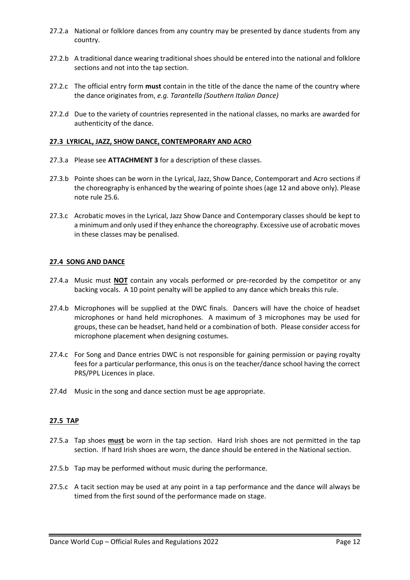- 27.2.a National or folklore dances from any country may be presented by dance students from any country.
- 27.2.b A traditional dance wearing traditional shoes should be entered into the national and folklore sections and not into the tap section.
- 27.2.c The official entry form **must** contain in the title of the dance the name of the country where the dance originates from, *e.g. Tarantella (Southern Italian Dance)*
- 27.2.d Due to the variety of countries represented in the national classes, no marks are awarded for authenticity of the dance.

#### **27.3 LYRICAL, JAZZ, SHOW DANCE, CONTEMPORARY AND ACRO**

- 27.3.a Please see **ATTACHMENT 3** for a description of these classes.
- 27.3.b Pointe shoes can be worn in the Lyrical, Jazz, Show Dance, Contemporart and Acro sections if the choreography is enhanced by the wearing of pointe shoes (age 12 and above only). Please note rule 25.6.
- 27.3.c Acrobatic moves in the Lyrical, Jazz Show Dance and Contemporary classes should be kept to a minimum and only used if they enhance the choreography. Excessive use of acrobatic moves in these classes may be penalised.

#### **27.4 SONG AND DANCE**

- 27.4.a Music must **NOT** contain any vocals performed or pre-recorded by the competitor or any backing vocals. A 10 point penalty will be applied to any dance which breaks this rule.
- 27.4.b Microphones will be supplied at the DWC finals. Dancers will have the choice of headset microphones or hand held microphones. A maximum of 3 microphones may be used for groups, these can be headset, hand held or a combination of both. Please consider access for microphone placement when designing costumes.
- 27.4.c For Song and Dance entries DWC is not responsible for gaining permission or paying royalty fees for a particular performance, this onus is on the teacher/dance school having the correct PRS/PPL Licences in place.
- 27.4d Music in the song and dance section must be age appropriate.

#### **27.5 TAP**

- 27.5.a Tap shoes **must** be worn in the tap section. Hard Irish shoes are not permitted in the tap section. If hard Irish shoes are worn, the dance should be entered in the National section.
- 27.5.b Tap may be performed without music during the performance.
- 27.5.c A tacit section may be used at any point in a tap performance and the dance will always be timed from the first sound of the performance made on stage.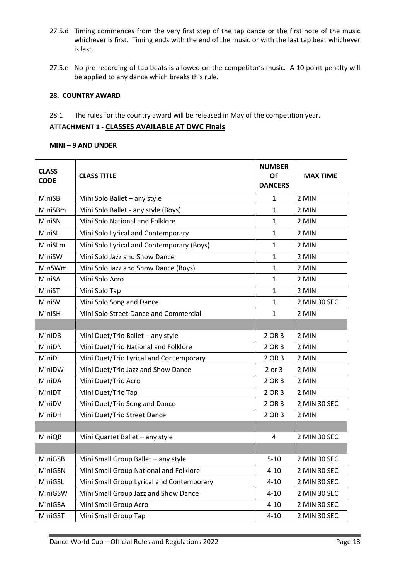- 27.5.d Timing commences from the very first step of the tap dance or the first note of the music whichever is first. Timing ends with the end of the music or with the last tap beat whichever is last.
- 27.5.e No pre-recording of tap beats is allowed on the competitor's music. A 10 point penalty will be applied to any dance which breaks this rule.

## **28. COUNTRY AWARD**

28.1 The rules for the country award will be released in May of the competition year.

## **ATTACHMENT 1 - CLASSES AVAILABLE AT DWC Finals**

#### **MINI – 9 AND UNDER**

| <b>CLASS</b><br><b>CODE</b> | <b>CLASS TITLE</b>                        | <b>NUMBER</b><br><b>OF</b><br><b>DANCERS</b> | <b>MAX TIME</b> |
|-----------------------------|-------------------------------------------|----------------------------------------------|-----------------|
| MiniSB                      | Mini Solo Ballet - any style              | 1                                            | 2 MIN           |
| MiniSBm                     | Mini Solo Ballet - any style (Boys)       | $\mathbf{1}$                                 | 2 MIN           |
| MiniSN                      | Mini Solo National and Folklore           | $\mathbf{1}$                                 | 2 MIN           |
| MiniSL                      | Mini Solo Lyrical and Contemporary        | $\mathbf{1}$                                 | 2 MIN           |
| MiniSLm                     | Mini Solo Lyrical and Contemporary (Boys) | $\mathbf{1}$                                 | 2 MIN           |
| MiniSW                      | Mini Solo Jazz and Show Dance             | $\mathbf{1}$                                 | 2 MIN           |
| MinSWm                      | Mini Solo Jazz and Show Dance (Boys)      | $\mathbf{1}$                                 | 2 MIN           |
| MiniSA                      | Mini Solo Acro                            | $\mathbf{1}$                                 | 2 MIN           |
| MiniST                      | Mini Solo Tap                             | $\mathbf{1}$                                 | 2 MIN           |
| MiniSV                      | Mini Solo Song and Dance                  | $\mathbf{1}$                                 | 2 MIN 30 SEC    |
| MiniSH                      | Mini Solo Street Dance and Commercial     | $\mathbf{1}$                                 | 2 MIN           |
|                             |                                           |                                              |                 |
| MiniDB                      | Mini Duet/Trio Ballet - any style         | 2 OR 3                                       | 2 MIN           |
| MiniDN                      | Mini Duet/Trio National and Folklore      | 2 OR 3                                       | 2 MIN           |
| MiniDL                      | Mini Duet/Trio Lyrical and Contemporary   | 2 OR 3                                       | 2 MIN           |
| MiniDW                      | Mini Duet/Trio Jazz and Show Dance        | 2 or 3                                       | 2 MIN           |
| MiniDA                      | Mini Duet/Trio Acro                       | 2 OR 3                                       | 2 MIN           |
| MiniDT                      | Mini Duet/Trio Tap                        | 2 OR 3                                       | 2 MIN           |
| MiniDV                      | Mini Duet/Trio Song and Dance             | 2 OR 3                                       | 2 MIN 30 SEC    |
| MiniDH                      | Mini Duet/Trio Street Dance               | 2 OR 3                                       | 2 MIN           |
|                             |                                           |                                              |                 |
| MiniQB                      | Mini Quartet Ballet - any style           | 4                                            | 2 MIN 30 SEC    |
|                             |                                           |                                              |                 |
| MiniGSB                     | Mini Small Group Ballet - any style       | $5 - 10$                                     | 2 MIN 30 SEC    |
| MiniGSN                     | Mini Small Group National and Folklore    | 4-10                                         | 2 MIN 30 SEC    |
| MiniGSL                     | Mini Small Group Lyrical and Contemporary | $4 - 10$                                     | 2 MIN 30 SEC    |
| MiniGSW                     | Mini Small Group Jazz and Show Dance      | $4 - 10$                                     | 2 MIN 30 SEC    |
| MiniGSA                     | Mini Small Group Acro                     | $4 - 10$                                     | 2 MIN 30 SEC    |
| MiniGST                     | Mini Small Group Tap                      | $4 - 10$                                     | 2 MIN 30 SEC    |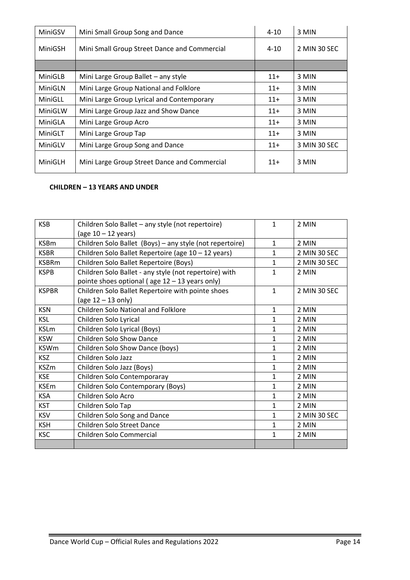| MiniGSV | Mini Small Group Song and Dance              | $4 - 10$ | 3 MIN        |
|---------|----------------------------------------------|----------|--------------|
| MiniGSH | Mini Small Group Street Dance and Commercial | $4 - 10$ | 2 MIN 30 SEC |
|         |                                              |          |              |
| MiniGLB | Mini Large Group Ballet - any style          | $11+$    | 3 MIN        |
| MiniGLN | Mini Large Group National and Folklore       | $11+$    | 3 MIN        |
| MiniGLL | Mini Large Group Lyrical and Contemporary    | $11+$    | 3 MIN        |
| MiniGLW | Mini Large Group Jazz and Show Dance         | $11+$    | 3 MIN        |
| MiniGLA | Mini Large Group Acro                        | $11+$    | 3 MIN        |
| MiniGLT | Mini Large Group Tap                         | $11+$    | 3 MIN        |
| MiniGLV | Mini Large Group Song and Dance              | $11+$    | 3 MIN 30 SEC |
| MiniGLH | Mini Large Group Street Dance and Commercial | $11+$    | 3 MIN        |

# **CHILDREN – 13 YEARS AND UNDER**

| <b>KSB</b>   | Children Solo Ballet - any style (not repertoire)        | 1            | 2 MIN        |
|--------------|----------------------------------------------------------|--------------|--------------|
|              |                                                          |              |              |
|              | (age $10 - 12$ years)                                    |              |              |
| <b>KSBm</b>  | Children Solo Ballet (Boys) - any style (not repertoire) | $\mathbf{1}$ | 2 MIN        |
| <b>KSBR</b>  | Children Solo Ballet Repertoire (age 10 - 12 years)      | $\mathbf{1}$ | 2 MIN 30 SEC |
| <b>KSBRm</b> | Children Solo Ballet Repertoire (Boys)                   | 1            | 2 MIN 30 SEC |
| <b>KSPB</b>  | Children Solo Ballet - any style (not repertoire) with   | 1            | 2 MIN        |
|              | pointe shoes optional (age $12 - 13$ years only)         |              |              |
| <b>KSPBR</b> | Children Solo Ballet Repertoire with pointe shoes        | $\mathbf{1}$ | 2 MIN 30 SEC |
|              | (age 12 - 13 only)                                       |              |              |
| <b>KSN</b>   | <b>Children Solo National and Folklore</b>               | 1            | 2 MIN        |
| <b>KSL</b>   | Children Solo Lyrical                                    | 1            | 2 MIN        |
| <b>KSLm</b>  | Children Solo Lyrical (Boys)                             | 1            | 2 MIN        |
| <b>KSW</b>   | <b>Children Solo Show Dance</b>                          | $\mathbf{1}$ | 2 MIN        |
| <b>KSWm</b>  | Children Solo Show Dance (boys)                          | $\mathbf{1}$ | 2 MIN        |
| <b>KSZ</b>   | Children Solo Jazz                                       | 1            | 2 MIN        |
| <b>KSZm</b>  | Children Solo Jazz (Boys)                                | 1            | 2 MIN        |
| <b>KSE</b>   | Children Solo Contemporaray                              | $\mathbf{1}$ | 2 MIN        |
| <b>KSEm</b>  | Children Solo Contemporary (Boys)                        | 1            | 2 MIN        |
| <b>KSA</b>   | Children Solo Acro                                       | 1            | 2 MIN        |
| <b>KST</b>   | Children Solo Tap                                        | $\mathbf{1}$ | 2 MIN        |
| <b>KSV</b>   | Children Solo Song and Dance                             | $\mathbf{1}$ | 2 MIN 30 SEC |
| <b>KSH</b>   | Children Solo Street Dance                               | 1            | 2 MIN        |
| <b>KSC</b>   | Children Solo Commercial                                 | 1            | 2 MIN        |
|              |                                                          |              |              |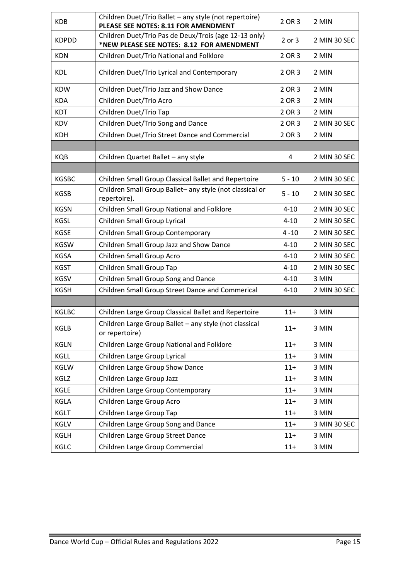| <b>KDB</b>   | Children Duet/Trio Ballet - any style (not repertoire)<br>PLEASE SEE NOTES: 8.11 FOR AMENDMENT     | 2 OR 3     | 2 MIN        |
|--------------|----------------------------------------------------------------------------------------------------|------------|--------------|
| <b>KDPDD</b> | Children Duet/Trio Pas de Deux/Trois (age 12-13 only)<br>*NEW PLEASE SEE NOTES: 8.12 FOR AMENDMENT | $2$ or $3$ | 2 MIN 30 SEC |
| <b>KDN</b>   | Children Duet/Trio National and Folklore                                                           | 2 OR 3     | 2 MIN        |
| <b>KDL</b>   | Children Duet/Trio Lyrical and Contemporary                                                        | 2 OR 3     | 2 MIN        |
| <b>KDW</b>   | Children Duet/Trio Jazz and Show Dance                                                             | 2 OR 3     | 2 MIN        |
| <b>KDA</b>   | Children Duet/Trio Acro                                                                            | 2 OR 3     | 2 MIN        |
| <b>KDT</b>   | Children Duet/Trio Tap                                                                             | 2 OR 3     | 2 MIN        |
| <b>KDV</b>   | Children Duet/Trio Song and Dance                                                                  | 2 OR 3     | 2 MIN 30 SEC |
| <b>KDH</b>   | Children Duet/Trio Street Dance and Commercial                                                     | 2 OR 3     | 2 MIN        |
|              |                                                                                                    |            |              |
| <b>KQB</b>   | Children Quartet Ballet - any style                                                                | 4          | 2 MIN 30 SEC |
|              |                                                                                                    |            |              |
| <b>KGSBC</b> | Children Small Group Classical Ballet and Repertoire                                               | $5 - 10$   | 2 MIN 30 SEC |
| <b>KGSB</b>  | Children Small Group Ballet- any style (not classical or<br>repertoire).                           | $5 - 10$   | 2 MIN 30 SEC |
| <b>KGSN</b>  | Children Small Group National and Folklore                                                         | $4 - 10$   | 2 MIN 30 SEC |
| <b>KGSL</b>  | Children Small Group Lyrical                                                                       | $4 - 10$   | 2 MIN 30 SEC |
| <b>KGSE</b>  | Children Small Group Contemporary                                                                  | $4 - 10$   | 2 MIN 30 SEC |
| <b>KGSW</b>  | Children Small Group Jazz and Show Dance                                                           | $4 - 10$   | 2 MIN 30 SEC |
| <b>KGSA</b>  | Children Small Group Acro                                                                          | $4 - 10$   | 2 MIN 30 SEC |
| <b>KGST</b>  | Children Small Group Tap                                                                           | $4 - 10$   | 2 MIN 30 SEC |
| <b>KGSV</b>  | Children Small Group Song and Dance                                                                | $4 - 10$   | 3 MIN        |
| <b>KGSH</b>  | Children Small Group Street Dance and Commerical                                                   | $4 - 10$   | 2 MIN 30 SEC |
|              |                                                                                                    |            |              |
| <b>KGLBC</b> | Children Large Group Classical Ballet and Repertoire                                               | $11+$      | 3 MIN        |
| KGLB         | Children Large Group Ballet - any style (not classical<br>or repertoire)                           | $11+$      | 3 MIN        |
| <b>KGLN</b>  | Children Large Group National and Folklore                                                         | $11+$      | 3 MIN        |
| KGLL         | Children Large Group Lyrical                                                                       | $11+$      | 3 MIN        |
| KGLW         | Children Large Group Show Dance                                                                    | $11+$      | 3 MIN        |
| KGLZ         | Children Large Group Jazz                                                                          | $11+$      | 3 MIN        |
| KGLE         | Children Large Group Contemporary                                                                  | $11+$      | 3 MIN        |
| KGLA         | Children Large Group Acro                                                                          | $11+$      | 3 MIN        |
| <b>KGLT</b>  | Children Large Group Tap                                                                           | $11+$      | 3 MIN        |
| KGLV         | Children Large Group Song and Dance                                                                | $11+$      | 3 MIN 30 SEC |
| KGLH         | Children Large Group Street Dance                                                                  | $11+$      | 3 MIN        |
| KGLC         | Children Large Group Commercial                                                                    | $11+$      | 3 MIN        |

п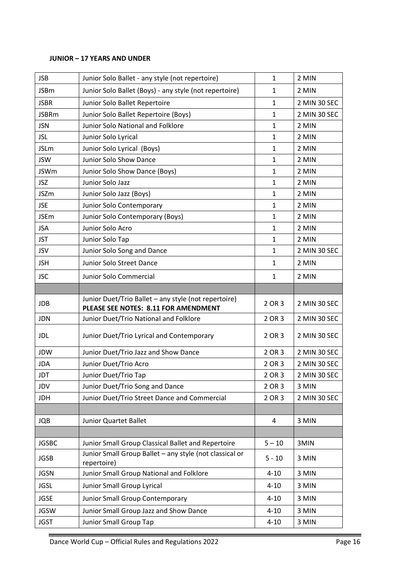## **JUNIOR – 17 YEARS AND UNDER**

| <b>JSB</b>   | Junior Solo Ballet - any style (not repertoire)                                              | $\mathbf{1}$ | 2 MIN        |
|--------------|----------------------------------------------------------------------------------------------|--------------|--------------|
| <b>JSBm</b>  | Junior Solo Ballet (Boys) - any style (not repertoire)                                       | $\mathbf{1}$ | 2 MIN        |
| <b>JSBR</b>  | Junior Solo Ballet Repertoire                                                                | $\mathbf{1}$ | 2 MIN 30 SEC |
| <b>JSBRm</b> | Junior Solo Ballet Repertoire (Boys)                                                         | $\mathbf{1}$ | 2 MIN 30 SEC |
| <b>JSN</b>   | Junior Solo National and Folklore                                                            | $\mathbf{1}$ | 2 MIN        |
| <b>JSL</b>   | Junior Solo Lyrical                                                                          | $\mathbf{1}$ | 2 MIN        |
| <b>JSLm</b>  | Junior Solo Lyrical (Boys)                                                                   | $\mathbf{1}$ | 2 MIN        |
| <b>JSW</b>   | Junior Solo Show Dance                                                                       | $\mathbf{1}$ | 2 MIN        |
| <b>JSWm</b>  | Junior Solo Show Dance (Boys)                                                                | 1            | 2 MIN        |
| <b>JSZ</b>   | Junior Solo Jazz                                                                             | $\mathbf{1}$ | 2 MIN        |
| <b>JSZm</b>  | Junior Solo Jazz (Boys)                                                                      | $\mathbf{1}$ | 2 MIN        |
| <b>JSE</b>   | Junior Solo Contemporary                                                                     | $\mathbf{1}$ | 2 MIN        |
| <b>JSEm</b>  | Junior Solo Contemporary (Boys)                                                              | 1            | 2 MIN        |
| <b>JSA</b>   | Junior Solo Acro                                                                             | 1            | 2 MIN        |
| <b>JST</b>   | Junior Solo Tap                                                                              | 1            | 2 MIN        |
| <b>JSV</b>   | Junior Solo Song and Dance                                                                   | 1            | 2 MIN 30 SEC |
| <b>JSH</b>   | Junior Solo Street Dance                                                                     | 1            | 2 MIN        |
| <b>JSC</b>   | Junior Solo Commercial                                                                       | 1            | 2 MIN        |
|              |                                                                                              |              |              |
| <b>JDB</b>   | Junior Duet/Trio Ballet - any style (not repertoire)<br>PLEASE SEE NOTES: 8.11 FOR AMENDMENT | 2 OR 3       | 2 MIN 30 SEC |
| <b>JDN</b>   | Junior Duet/Trio National and Folklore                                                       | 2 OR 3       | 2 MIN 30 SEC |
| <b>JDL</b>   | Junior Duet/Trio Lyrical and Contemporary                                                    | 2 OR 3       | 2 MIN 30 SEC |
| JDW          | Junior Duet/Trio Jazz and Show Dance                                                         | 2 OR 3       | 2 MIN 30 SEC |
| <b>JDA</b>   | Junior Duet/Trio Acro                                                                        | 2 OR 3       | 2 MIN 30 SEC |
| <b>JDT</b>   | Junior Duet/Trio Tap                                                                         | 2 OR 3       | 2 MIN 30 SEC |
| JDV          | Junior Duet/Trio Song and Dance                                                              | 2 OR 3       | 3 MIN        |
| <b>JDH</b>   | Junior Duet/Trio Street Dance and Commercial                                                 | 2 OR 3       | 2 MIN 30 SEC |
|              |                                                                                              |              |              |
| <b>JQB</b>   | Junior Quartet Ballet                                                                        | 4            | 3 MIN        |
|              |                                                                                              |              |              |
| <b>JGSBC</b> | Junior Small Group Classical Ballet and Repertoire                                           | $5 - 10$     | 3MIN         |
| <b>JGSB</b>  | Junior Small Group Ballet - any style (not classical or<br>repertoire)                       | $5 - 10$     | 3 MIN        |
| <b>JGSN</b>  | Junior Small Group National and Folklore                                                     | $4 - 10$     | 3 MIN        |
| <b>JGSL</b>  | Junior Small Group Lyrical                                                                   | $4 - 10$     | 3 MIN        |
| <b>JGSE</b>  | Junior Small Group Contemporary                                                              | $4 - 10$     | 3 MIN        |
| <b>JGSW</b>  | Junior Small Group Jazz and Show Dance                                                       | $4 - 10$     | 3 MIN        |
| <b>JGST</b>  | Junior Small Group Tap                                                                       | $4 - 10$     | 3 MIN        |

п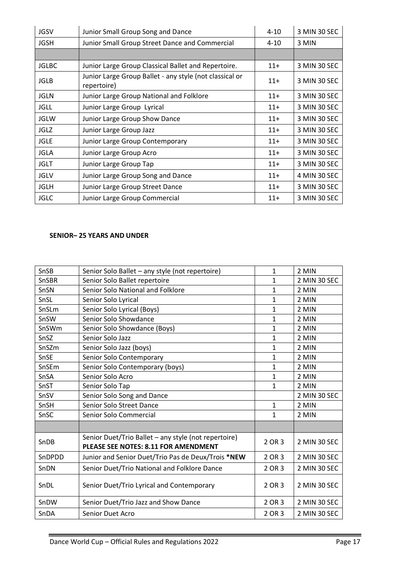| <b>JGSV</b>  | Junior Small Group Song and Dance                                      | $4 - 10$ | 3 MIN 30 SEC |
|--------------|------------------------------------------------------------------------|----------|--------------|
| <b>JGSH</b>  | Junior Small Group Street Dance and Commercial                         | $4 - 10$ | 3 MIN        |
|              |                                                                        |          |              |
| <b>JGLBC</b> | Junior Large Group Classical Ballet and Repertoire.                    | $11+$    | 3 MIN 30 SEC |
| <b>JGLB</b>  | Junior Large Group Ballet - any style (not classical or<br>repertoire) |          | 3 MIN 30 SEC |
| <b>JGLN</b>  | Junior Large Group National and Folklore                               | $11+$    | 3 MIN 30 SEC |
| <b>JGLL</b>  | Junior Large Group Lyrical                                             | $11+$    | 3 MIN 30 SEC |
| <b>JGLW</b>  | Junior Large Group Show Dance                                          | $11+$    | 3 MIN 30 SEC |
| <b>JGLZ</b>  | Junior Large Group Jazz                                                | $11+$    | 3 MIN 30 SEC |
| <b>JGLE</b>  | Junior Large Group Contemporary                                        | $11+$    | 3 MIN 30 SEC |
| <b>JGLA</b>  | Junior Large Group Acro                                                | $11+$    | 3 MIN 30 SEC |
| <b>JGLT</b>  | Junior Large Group Tap                                                 | $11+$    | 3 MIN 30 SEC |
| <b>JGLV</b>  | Junior Large Group Song and Dance                                      | $11+$    | 4 MIN 30 SEC |
| <b>JGLH</b>  | Junior Large Group Street Dance                                        | $11+$    | 3 MIN 30 SEC |
| <b>JGLC</b>  | Junior Large Group Commercial                                          | $11+$    | 3 MIN 30 SEC |

## **SENIOR– 25 YEARS AND UNDER**

| SnSB   | Senior Solo Ballet - any style (not repertoire)                                              | $\mathbf{1}$ | 2 MIN        |
|--------|----------------------------------------------------------------------------------------------|--------------|--------------|
| SnSBR  | Senior Solo Ballet repertoire<br>$\mathbf{1}$                                                |              | 2 MIN 30 SEC |
| SnSN   | Senior Solo National and Folklore                                                            | $\mathbf{1}$ | 2 MIN        |
| SnSL   | Senior Solo Lyrical                                                                          | $\mathbf{1}$ | 2 MIN        |
| SnSLm  | Senior Solo Lyrical (Boys)                                                                   | $\mathbf{1}$ | 2 MIN        |
| SnSW   | Senior Solo Showdance                                                                        | $\mathbf{1}$ | 2 MIN        |
| SnSWm  | Senior Solo Showdance (Boys)                                                                 | $\mathbf{1}$ | 2 MIN        |
| SnSZ   | Senior Solo Jazz                                                                             | $\mathbf{1}$ | 2 MIN        |
| SnSZm  | Senior Solo Jazz (boys)                                                                      | $\mathbf{1}$ | 2 MIN        |
| SnSE   | Senior Solo Contemporary                                                                     | $\mathbf{1}$ | 2 MIN        |
| SnSEm  | Senior Solo Contemporary (boys)                                                              | $\mathbf{1}$ | 2 MIN        |
| SnSA   | Senior Solo Acro                                                                             | $\mathbf{1}$ | 2 MIN        |
| SnST   | Senior Solo Tap                                                                              | $\mathbf{1}$ | 2 MIN        |
| SnSV   | Senior Solo Song and Dance                                                                   |              | 2 MIN 30 SEC |
| SnSH   | Senior Solo Street Dance                                                                     | $\mathbf{1}$ | 2 MIN        |
| SnSC   | Senior Solo Commercial                                                                       | $\mathbf{1}$ | 2 MIN        |
|        |                                                                                              |              |              |
| SnDB   | Senior Duet/Trio Ballet - any style (not repertoire)<br>PLEASE SEE NOTES: 8.11 FOR AMENDMENT | 2 OR 3       | 2 MIN 30 SEC |
| SnDPDD | Junior and Senior Duet/Trio Pas de Deux/Trois *NEW                                           | 2 OR 3       | 2 MIN 30 SEC |
| SnDN   | Senior Duet/Trio National and Folklore Dance                                                 | 2 OR 3       | 2 MIN 30 SEC |
| SnDL   | Senior Duet/Trio Lyrical and Contemporary                                                    | 2 OR 3       | 2 MIN 30 SEC |
| SnDW   | Senior Duet/Trio Jazz and Show Dance                                                         | 2 OR 3       | 2 MIN 30 SEC |
| SnDA   | Senior Duet Acro                                                                             | 2 OR 3       | 2 MIN 30 SEC |

E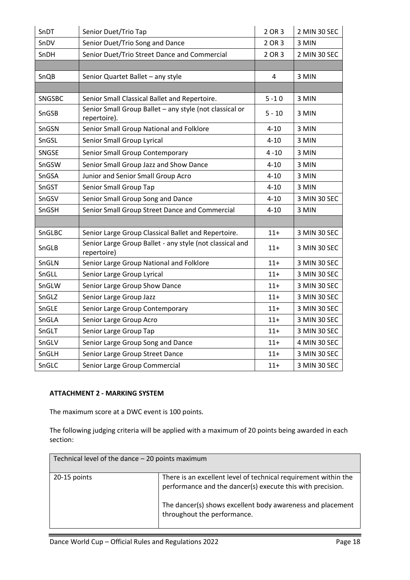| SnDT          | Senior Duet/Trio Tap                                                    | 2 OR 3   | 2 MIN 30 SEC |
|---------------|-------------------------------------------------------------------------|----------|--------------|
| SnDV          | Senior Duet/Trio Song and Dance                                         | 2 OR 3   | 3 MIN        |
| SnDH          | Senior Duet/Trio Street Dance and Commercial                            | 2 OR 3   | 2 MIN 30 SEC |
|               |                                                                         |          |              |
| SnQB          | Senior Quartet Ballet - any style                                       | 4        | 3 MIN        |
|               |                                                                         |          |              |
| <b>SNGSBC</b> | Senior Small Classical Ballet and Repertoire.                           | $5 - 10$ | 3 MIN        |
| SnGSB         | Senior Small Group Ballet - any style (not classical or<br>repertoire). | $5 - 10$ | 3 MIN        |
| SnGSN         | Senior Small Group National and Folklore                                | $4 - 10$ | 3 MIN        |
| SnGSL         | Senior Small Group Lyrical                                              | $4 - 10$ | 3 MIN        |
| SNGSE         | Senior Small Group Contemporary                                         | $4 - 10$ | 3 MIN        |
| SnGSW         | Senior Small Group Jazz and Show Dance                                  | $4 - 10$ | 3 MIN        |
| SnGSA         | Junior and Senior Small Group Acro                                      | $4 - 10$ | 3 MIN        |
| SnGST         | Senior Small Group Tap                                                  | $4 - 10$ | 3 MIN        |
| SnGSV         | Senior Small Group Song and Dance                                       | $4 - 10$ | 3 MIN 30 SEC |
| SnGSH         | Senior Small Group Street Dance and Commercial                          | $4 - 10$ | 3 MIN        |
|               |                                                                         |          |              |
| SnGLBC        | Senior Large Group Classical Ballet and Repertoire.                     | $11+$    | 3 MIN 30 SEC |
| SnGLB         | Senior Large Group Ballet - any style (not classical and<br>repertoire) | $11+$    | 3 MIN 30 SEC |
| SnGLN         | Senior Large Group National and Folklore                                | $11 +$   | 3 MIN 30 SEC |
| SnGLL         | Senior Large Group Lyrical                                              | $11 +$   | 3 MIN 30 SEC |
| SnGLW         | Senior Large Group Show Dance                                           | $11 +$   | 3 MIN 30 SEC |
| SnGLZ         | Senior Large Group Jazz                                                 | $11+$    | 3 MIN 30 SEC |
| SnGLE         | Senior Large Group Contemporary                                         | $11 +$   | 3 MIN 30 SEC |
| SnGLA         | Senior Large Group Acro                                                 | $11+$    | 3 MIN 30 SEC |
| SnGLT         | Senior Large Group Tap                                                  | $11+$    | 3 MIN 30 SEC |
| SnGLV         | Senior Large Group Song and Dance                                       | $11 +$   | 4 MIN 30 SEC |
| SnGLH         | Senior Large Group Street Dance                                         | $11 +$   | 3 MIN 30 SEC |
| SnGLC         | Senior Large Group Commercial                                           | $11 +$   | 3 MIN 30 SEC |

## **ATTACHMENT 2 - MARKING SYSTEM**

The maximum score at a DWC event is 100 points.

The following judging criteria will be applied with a maximum of 20 points being awarded in each section:

| Technical level of the dance - 20 points maximum |                                                                                                                               |
|--------------------------------------------------|-------------------------------------------------------------------------------------------------------------------------------|
| 20-15 points                                     | There is an excellent level of technical requirement within the<br>performance and the dancer(s) execute this with precision. |
|                                                  | The dancer(s) shows excellent body awareness and placement<br>throughout the performance.                                     |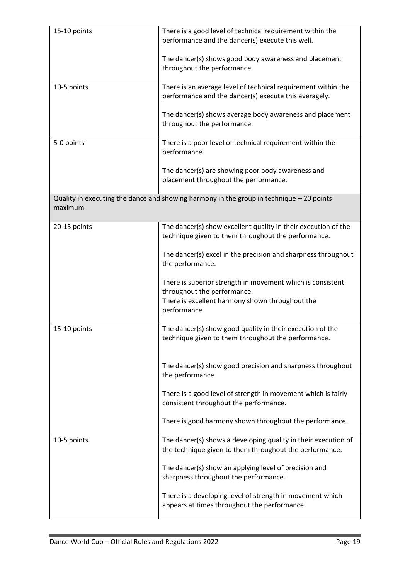| 15-10 points | There is a good level of technical requirement within the<br>performance and the dancer(s) execute this well.             |
|--------------|---------------------------------------------------------------------------------------------------------------------------|
|              | The dancer(s) shows good body awareness and placement<br>throughout the performance.                                      |
| 10-5 points  | There is an average level of technical requirement within the<br>performance and the dancer(s) execute this averagely.    |
|              | The dancer(s) shows average body awareness and placement<br>throughout the performance.                                   |
| 5-0 points   | There is a poor level of technical requirement within the<br>performance.                                                 |
|              | The dancer(s) are showing poor body awareness and<br>placement throughout the performance.                                |
| maximum      | Quality in executing the dance and showing harmony in the group in technique $-20$ points                                 |
| 20-15 points | The dancer(s) show excellent quality in their execution of the<br>technique given to them throughout the performance.     |
|              | The dancer(s) excel in the precision and sharpness throughout<br>the performance.                                         |
|              | There is superior strength in movement which is consistent<br>throughout the performance.                                 |
|              | There is excellent harmony shown throughout the<br>performance.                                                           |
| 15-10 points | The dancer(s) show good quality in their execution of the<br>technique given to them throughout the performance.          |
|              | The dancer(s) show good precision and sharpness throughout<br>the performance.                                            |
|              | There is a good level of strength in movement which is fairly<br>consistent throughout the performance.                   |
|              | There is good harmony shown throughout the performance.                                                                   |
| 10-5 points  | The dancer(s) shows a developing quality in their execution of<br>the technique given to them throughout the performance. |
|              | The dancer(s) show an applying level of precision and<br>sharpness throughout the performance.                            |
|              | There is a developing level of strength in movement which<br>appears at times throughout the performance.                 |

п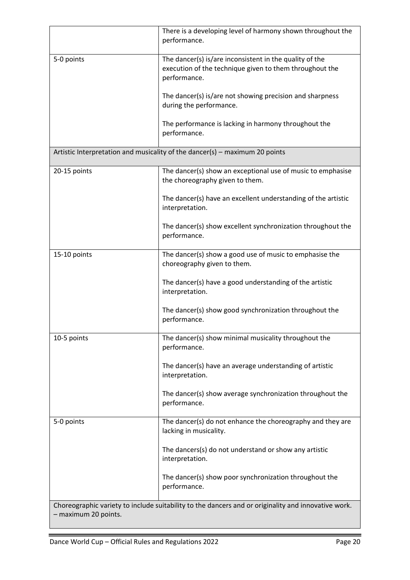|                      | There is a developing level of harmony shown throughout the<br>performance.                                                        |
|----------------------|------------------------------------------------------------------------------------------------------------------------------------|
| 5-0 points           | The dancer(s) is/are inconsistent in the quality of the<br>execution of the technique given to them throughout the<br>performance. |
|                      | The dancer(s) is/are not showing precision and sharpness<br>during the performance.                                                |
|                      | The performance is lacking in harmony throughout the<br>performance.                                                               |
|                      | Artistic Interpretation and musicality of the dancer(s) - maximum 20 points                                                        |
| 20-15 points         | The dancer(s) show an exceptional use of music to emphasise<br>the choreography given to them.                                     |
|                      | The dancer(s) have an excellent understanding of the artistic<br>interpretation.                                                   |
|                      | The dancer(s) show excellent synchronization throughout the<br>performance.                                                        |
| 15-10 points         | The dancer(s) show a good use of music to emphasise the<br>choreography given to them.                                             |
|                      | The dancer(s) have a good understanding of the artistic<br>interpretation.                                                         |
|                      | The dancer(s) show good synchronization throughout the<br>performance.                                                             |
| 10-5 points          | The dancer(s) show minimal musicality throughout the<br>performance.                                                               |
|                      | The dancer(s) have an average understanding of artistic<br>interpretation.                                                         |
|                      | The dancer(s) show average synchronization throughout the<br>performance.                                                          |
| 5-0 points           | The dancer(s) do not enhance the choreography and they are<br>lacking in musicality.                                               |
|                      | The dancers(s) do not understand or show any artistic<br>interpretation.                                                           |
|                      | The dancer(s) show poor synchronization throughout the<br>performance.                                                             |
| - maximum 20 points. | Choreographic variety to include suitability to the dancers and or originality and innovative work.                                |

п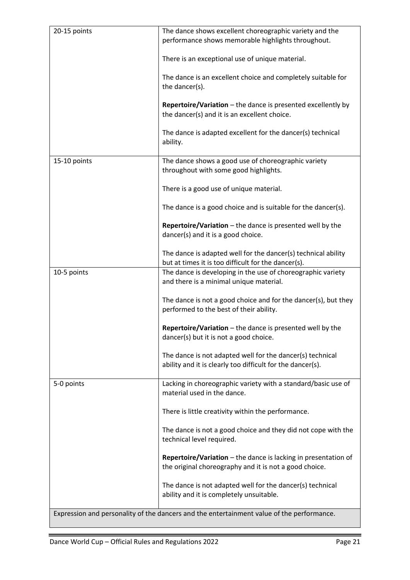| 20-15 points                                                                              | The dance shows excellent choreographic variety and the<br>performance shows memorable highlights throughout.            |  |
|-------------------------------------------------------------------------------------------|--------------------------------------------------------------------------------------------------------------------------|--|
|                                                                                           | There is an exceptional use of unique material.                                                                          |  |
|                                                                                           | The dance is an excellent choice and completely suitable for<br>the dancer(s).                                           |  |
|                                                                                           | Repertoire/Variation - the dance is presented excellently by<br>the dancer(s) and it is an excellent choice.             |  |
|                                                                                           | The dance is adapted excellent for the dancer(s) technical<br>ability.                                                   |  |
| 15-10 points                                                                              | The dance shows a good use of choreographic variety<br>throughout with some good highlights.                             |  |
|                                                                                           | There is a good use of unique material.                                                                                  |  |
|                                                                                           | The dance is a good choice and is suitable for the dancer(s).                                                            |  |
|                                                                                           | Repertoire/Variation - the dance is presented well by the<br>dancer(s) and it is a good choice.                          |  |
|                                                                                           | The dance is adapted well for the dancer(s) technical ability<br>but at times it is too difficult for the dancer(s).     |  |
| 10-5 points                                                                               | The dance is developing in the use of choreographic variety<br>and there is a minimal unique material.                   |  |
|                                                                                           | The dance is not a good choice and for the dancer(s), but they<br>performed to the best of their ability.                |  |
|                                                                                           | Repertoire/Variation - the dance is presented well by the<br>dancer(s) but it is not a good choice.                      |  |
|                                                                                           | The dance is not adapted well for the dancer(s) technical<br>ability and it is clearly too difficult for the dancer(s).  |  |
| 5-0 points                                                                                | Lacking in choreographic variety with a standard/basic use of<br>material used in the dance.                             |  |
|                                                                                           | There is little creativity within the performance.                                                                       |  |
|                                                                                           | The dance is not a good choice and they did not cope with the<br>technical level required.                               |  |
|                                                                                           | Repertoire/Variation - the dance is lacking in presentation of<br>the original choreography and it is not a good choice. |  |
|                                                                                           | The dance is not adapted well for the dancer(s) technical<br>ability and it is completely unsuitable.                    |  |
| Expression and personality of the dancers and the entertainment value of the performance. |                                                                                                                          |  |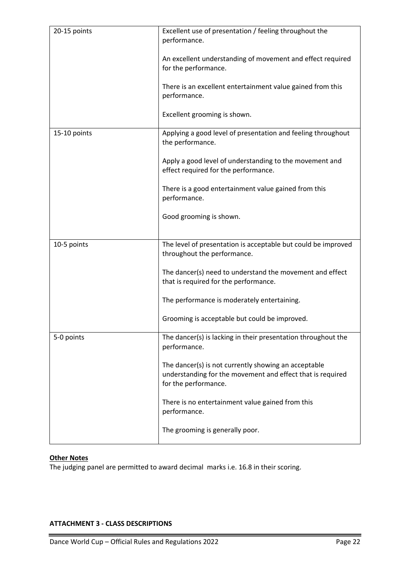| 20-15 points | Excellent use of presentation / feeling throughout the<br>performance.                                                                     |
|--------------|--------------------------------------------------------------------------------------------------------------------------------------------|
|              | An excellent understanding of movement and effect required<br>for the performance.                                                         |
|              | There is an excellent entertainment value gained from this<br>performance.                                                                 |
|              | Excellent grooming is shown.                                                                                                               |
| 15-10 points | Applying a good level of presentation and feeling throughout<br>the performance.                                                           |
|              | Apply a good level of understanding to the movement and<br>effect required for the performance.                                            |
|              | There is a good entertainment value gained from this<br>performance.                                                                       |
|              | Good grooming is shown.                                                                                                                    |
| 10-5 points  | The level of presentation is acceptable but could be improved<br>throughout the performance.                                               |
|              | The dancer(s) need to understand the movement and effect<br>that is required for the performance.                                          |
|              | The performance is moderately entertaining.                                                                                                |
|              | Grooming is acceptable but could be improved.                                                                                              |
| 5-0 points   | The dancer(s) is lacking in their presentation throughout the<br>performance.                                                              |
|              | The dancer(s) is not currently showing an acceptable<br>understanding for the movement and effect that is required<br>for the performance. |
|              | There is no entertainment value gained from this<br>performance.                                                                           |
|              | The grooming is generally poor.                                                                                                            |

# **Other Notes**

i.

The judging panel are permitted to award decimal marks i.e. 16.8 in their scoring.

## **ATTACHMENT 3 - CLASS DESCRIPTIONS**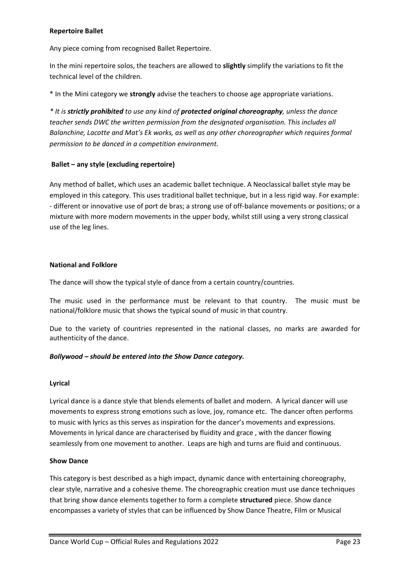### **Repertoire Ballet**

Any piece coming from recognised Ballet Repertoire.

In the mini repertoire solos, the teachers are allowed to **slightly** simplify the variations to fit the technical level of the children.

\* In the Mini category we **strongly** advise the teachers to choose age appropriate variations.

*\* It is strictly prohibited to use any kind of protected original choreography, unless the dance teacher sends DWC the written permission from the designated organisation. This includes all Balanchine, Lacotte and Mat's Ek works, as well as any other choreographer which requires formal permission to be danced in a competition environment.* 

### **Ballet – any style (excluding repertoire)**

Any method of ballet, which uses an academic ballet technique. A Neoclassical ballet style may be employed in this category. This uses traditional ballet technique, but in a less rigid way. For example: - different or innovative use of port de bras; a strong use of off-balance movements or positions; or a mixture with more modern movements in the upper body, whilst still using a very strong classical use of the leg lines.

### **National and Folklore**

The dance will show the typical style of dance from a certain country/countries.

The music used in the performance must be relevant to that country. The music must be national/folklore music that shows the typical sound of music in that country.

Due to the variety of countries represented in the national classes, no marks are awarded for authenticity of the dance.

#### *Bollywood – should be entered into the Show Dance category.*

#### **Lyrical**

Lyrical dance is a dance style that blends elements of ballet and modern. A lyrical dancer will use movements to express strong emotions such as love, joy, romance etc. The dancer often performs to music with lyrics as this serves as inspiration for the dancer's movements and expressions. Movements in lyrical dance are characterised by fluidity and grace , with the dancer flowing seamlessly from one movement to another. Leaps are high and turns are fluid and continuous.

#### **Show Dance**

This category is best described as a high impact, dynamic dance with entertaining choreography, clear style, narrative and a cohesive theme. The choreographic creation must use dance techniques that bring show dance elements together to form a complete **structured** piece. Show dance encompasses a variety of styles that can be influenced by Show Dance Theatre, Film or Musical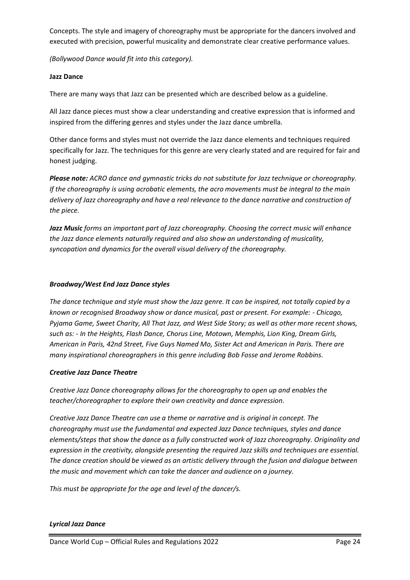Concepts. The style and imagery of choreography must be appropriate for the dancers involved and executed with precision, powerful musicality and demonstrate clear creative performance values.

*(Bollywood Dance would fit into this category).*

## **Jazz Dance**

There are many ways that Jazz can be presented which are described below as a guideline.

All Jazz dance pieces must show a clear understanding and creative expression that is informed and inspired from the differing genres and styles under the Jazz dance umbrella.

Other dance forms and styles must not override the Jazz dance elements and techniques required specifically for Jazz. The techniques for this genre are very clearly stated and are required for fair and honest judging.

*Please note: ACRO dance and gymnastic tricks do not substitute for Jazz technique or choreography. If the choreography is using acrobatic elements, the acro movements must be integral to the main delivery of Jazz choreography and have a real relevance to the dance narrative and construction of the piece.* 

*Jazz Music forms an important part of Jazz choreography. Choosing the correct music will enhance the Jazz dance elements naturally required and also show an understanding of musicality, syncopation and dynamics for the overall visual delivery of the choreography.*

## *Broadway/West End Jazz Dance styles*

*The dance technique and style must show the Jazz genre. It can be inspired, not totally copied by a known or recognised Broadway show or dance musical, past or present. For example: - Chicago, Pyjama Game, Sweet Charity, All That Jazz, and West Side Story; as well as other more recent shows, such as: - In the Heights, Flash Dance, Chorus Line, Motown, Memphis, Lion King, Dream Girls, American in Paris, 42nd Street, Five Guys Named Mo, Sister Act and American in Paris. There are many inspirational choreographers in this genre including Bob Fosse and Jerome Robbins.* 

## *Creative Jazz Dance Theatre*

*Creative Jazz Dance choreography allows for the choreography to open up and enables the teacher/choreographer to explore their own creativity and dance expression.*

*Creative Jazz Dance Theatre can use a theme or narrative and is original in concept. The choreography must use the fundamental and expected Jazz Dance techniques, styles and dance elements/steps that show the dance as a fully constructed work of Jazz choreography. Originality and expression in the creativity, alongside presenting the required Jazz skills and techniques are essential. The dance creation should be viewed as an artistic delivery through the fusion and dialogue between the music and movement which can take the dancer and audience on a journey.* 

*This must be appropriate for the age and level of the dancer/s.* 

## *Lyrical Jazz Dance*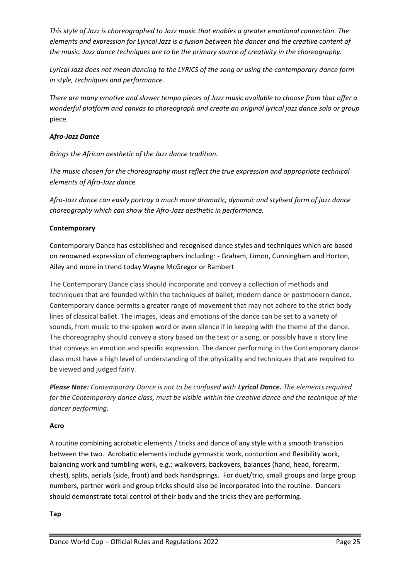*This style of Jazz is choreographed to Jazz music that enables a greater emotional connection. The elements and expression for Lyrical Jazz is a fusion between the dancer and the creative content of the music. Jazz dance techniques are to be the primary source of creativity in the choreography.* 

*Lyrical Jazz does not mean dancing to the LYRICS of the song or using the contemporary dance form in style, techniques and performance.* 

*There are many emotive and slower tempo pieces of Jazz music available to choose from that offer a wonderful platform and canvas to choreograph and create an original lyrical jazz dance solo or group*  piece.

## *Afro-Jazz Dance*

*Brings the African aesthetic of the Jazz dance tradition.* 

*The music chosen for the choreography must reflect the true expression and appropriate technical elements of Afro-Jazz dance.* 

*Afro-Jazz dance can easily portray a much more dramatic, dynamic and stylised form of jazz dance choreography which can show the Afro-Jazz aesthetic in performance.*

## **Contemporary**

Contemporary Dance has established and recognised dance styles and techniques which are based on renowned expression of choreographers including: - Graham, Limon, Cunningham and Horton, Ailey and more in trend today Wayne McGregor or Rambert

The Contemporary Dance class should incorporate and convey a collection of methods and techniques that are founded within the techniques of ballet, modern dance or postmodern dance. Contemporary dance permits a greater range of movement that may not adhere to the strict body lines of classical ballet. The images, ideas and emotions of the dance can be set to a variety of sounds, from music to the spoken word or even silence if in keeping with the theme of the dance. The choreography should convey a story based on the text or a song, or possibly have a story line that conveys an emotion and specific expression. The dancer performing in the Contemporary dance class must have a high level of understanding of the physicality and techniques that are required to be viewed and judged fairly.

*Please Note: Contemporary Dance is not to be confused with Lyrical Dance. The elements required for the Contemporary dance class, must be visible within the creative dance and the technique of the dancer performing.*

## **Acro**

A routine combining acrobatic elements / tricks and dance of any style with a smooth transition between the two. Acrobatic elements include gymnastic work, contortion and flexibility work, balancing work and tumbling work, e.g.; walkovers, backovers, balances (hand, head, forearm, chest), splits, aerials (side, front) and back handsprings. For duet/trio, small groups and large group numbers, partner work and group tricks should also be incorporated into the routine. Dancers should demonstrate total control of their body and the tricks they are performing.

#### **Tap**